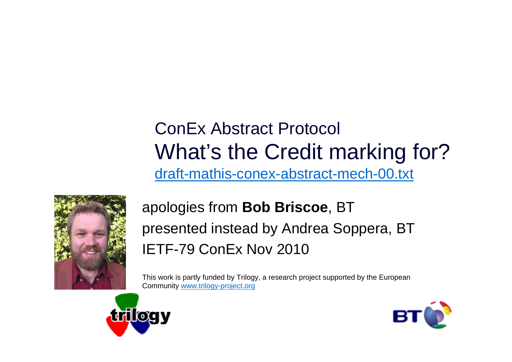### ConEx Abstract ProtocolWhat's the Credit marking for?draft-mathis-conex-abstract-mech-00.txt



#### apologies from **Bob Briscoe**, BTpresented instead by Andrea Soppera, BTIETF-79 ConEx Nov 2010

This work is partly funded by Trilogy, a research project supported by the European Community www.trilogy-project.org



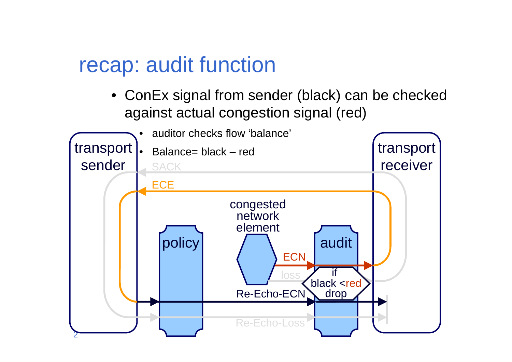## recap: audit function

• ConEx signal from sender (black) can be checked against actual congestion signal (red)

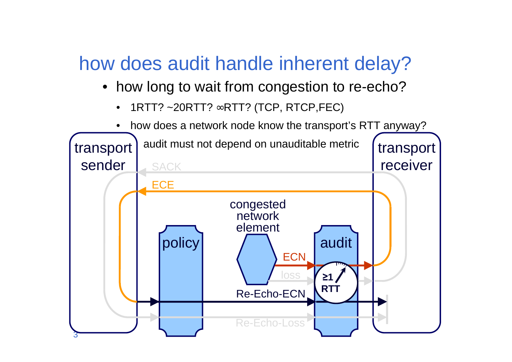## how does audit handle inherent delay?

- how long to wait from congestion to re-echo?
	- •1RTT? ~20RTT? ∞RTT? (TCP, RTCP,FEC)
	- •how does a network node know the transport's RTT anyway?

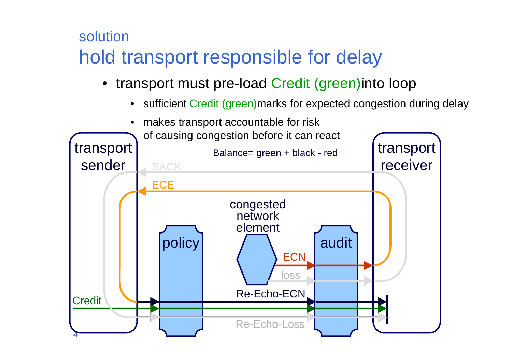#### solutionhold transport responsible for delay

- transport must pre-load Credit (green)into loop
	- •sufficient Credit (green)marks for expected congestion during delay

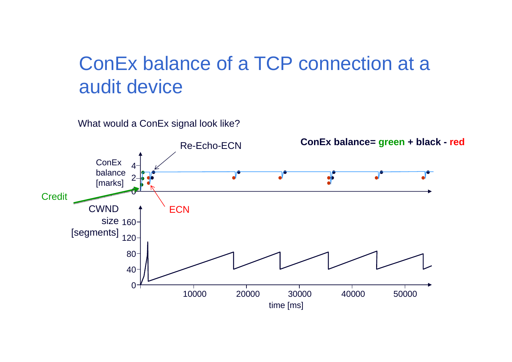### ConEx balance of a TCP connection at a audit device

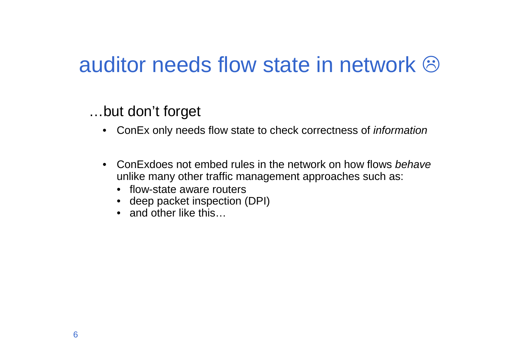# auditor needs flow state in network  $\odot$

…but don't forget

- ConEx only needs flow state to check correctness of *information*
- ConExdoes not embed rules in the network on how flows behave unlike many other traffic management approaches such as:
	- flow-state aware routers
	- deep packet inspection (DPI)
	- and other like this…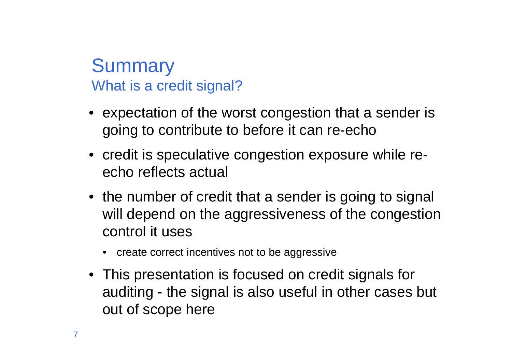#### **Summary** What is a credit signal?

- expectation of the worst congestion that a sender is going to contribute to before it can re-echo
- credit is speculative congestion exposure while reecho reflects actual
- the number of credit that a sender is going to signal will depend on the aggressiveness of the congestioncontrol it uses
	- create correct incentives not to be aggressive
- This presentation is focused on credit signals forauditing - the signal is also useful in other cases but out of scope here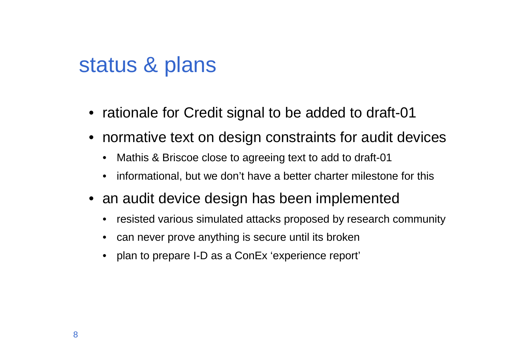## status & plans

- rationale for Credit signal to be added to draft-01
- normative text on design constraints for audit devices
	- •Mathis & Briscoe close to agreeing text to add to draft-01
	- •informational, but we don't have a better charter milestone for this
- an audit device design has been implemented
	- •resisted various simulated attacks proposed by research community
	- can never prove anything is secure until its broken
	- plan to prepare I-D as a ConEx 'experience report'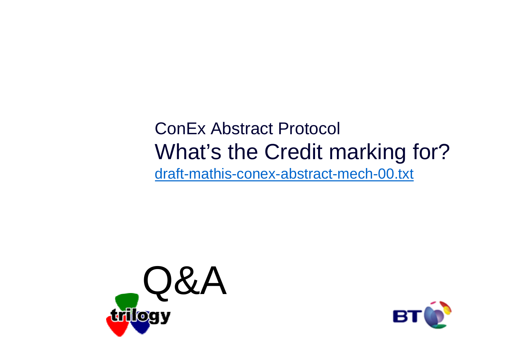### ConEx Abstract ProtocolWhat's the Credit marking for?draft-mathis-conex-abstract-mech-00.txt



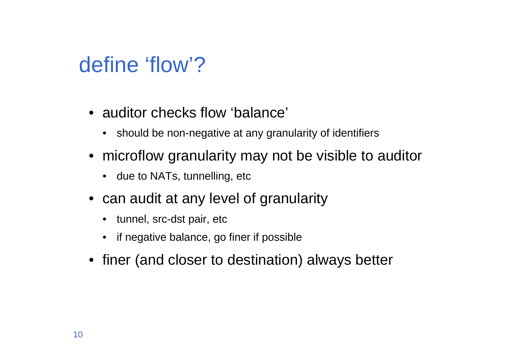# define 'flow'?

- auditor checks flow 'balance'
	- should be non-negative at any granularity of identifiers
- microflow granularity may not be visible to auditor
	- due to NATs, tunnelling, etc
- can audit at any level of granularity
	- tunnel, src-dst pair, etc
	- •if negative balance, go finer if possible
- finer (and closer to destination) always better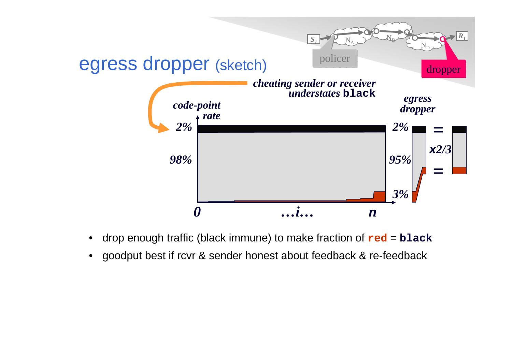

- •drop enough traffic (black immune) to make fraction of **red** <sup>=</sup>**black**
- •goodput best if rcvr & sender honest about feedback & re-feedback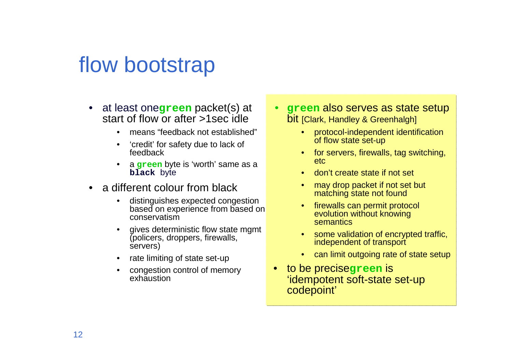# flow bootstrap

- $\bullet$  at least one**green** packet(s) at start of flow or after >1sec idle
	- means "feedback not established"•
	- 'credit' for safety due to lack of feedback
	- <sup>a</sup>**green** byte is 'worth' same as a **black** byte
- a different colour from black
	- • distinguishes expected congestion based on experience from based on conservatism
	- • gives deterministic flow state mgmt (policers, droppers, firewalls, servers)
	- •rate limiting of state set-up
	- congestion control of memory exhaustion
- **green** also serves as state setup bit [Clark, Handley & Greenhalgh]
	- • protocol-independent identification of flow state set-up
	- for servers, firewalls, tag switching, etc
	- •don't create state if not set
	- • may drop packet if not set but matching state not found
	- firewalls can permit protocol •evolution without knowing semantics
	- •some validation of encrypted traffic, independent of transport
	- can limit outgoing rate of state setup
- • to be precise**green** is 'idempotent soft-state set-up codepoint'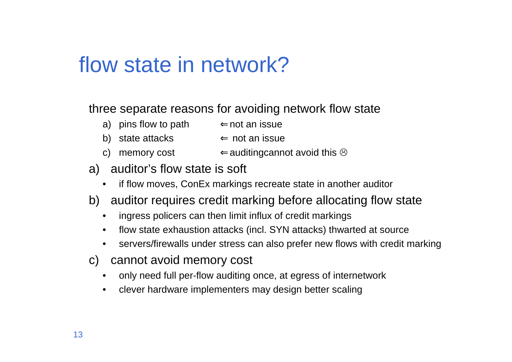# flow state in network?

three separate reasons for avoiding network flow state

- a) pins flow to path⇐not an issue
- b) state attacks ∈ not an issue<br>c) πρακτευροστ
- c) memory cost  $\Leftarrow$  auditing cannot avoid this  $\odot$
- a) auditor's flow state is soft
	- if flow moves, ConEx markings recreate state in another auditor
- b) auditor requires credit marking before allocating flow state
	- $\bullet$ ingress policers can then limit influx of credit markings
	- $\bullet$ flow state exhaustion attacks (incl. SYN attacks) thwarted at source
	- •servers/firewalls under stress can also prefer new flows with credit marking
- c) cannot avoid memory cost
	- •only need full per-flow auditing once, at egress of internetwork
	- $\bullet$ clever hardware implementers may design better scaling